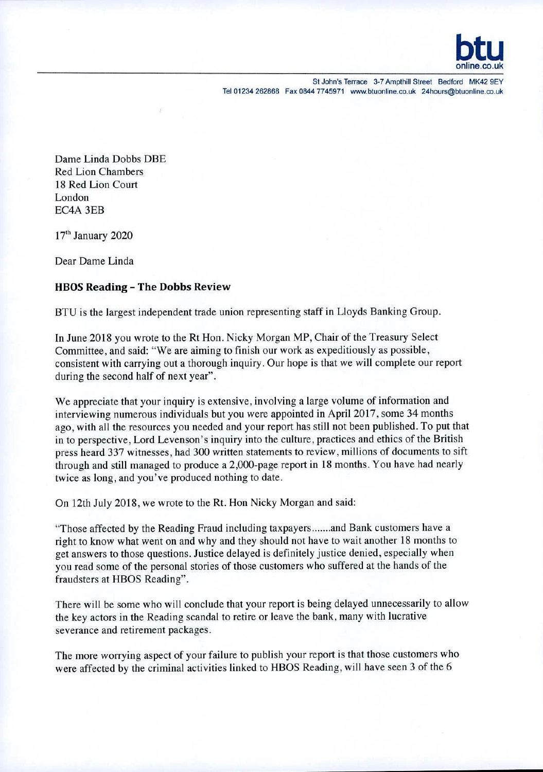

St John's Terrace 3-7 Ampthill Street Bedford MK42 9EY Tel 01234 262868 Fax 0844 7745971 www.btuonline.co.uk 24hours@btuonline.co.uk

Dame Linda Dobbs DBE Red Lion Chambers 18 Red Lion Court London EC4A 3EB

17" January 2020

Dear Dame Linda

## **HBOS Reading - The Dobbs Review**

BTU is the largest independent trade union representing staff in Lloyds Banking Group.

In June 2018 you wrote to the Rt Hon. Nicky Morgan MP, Chair of the Treasury Select Committee, and said: "We are aiming to finish our work as expeditiously as possible, consistent with carrying out a thorough inquiry. Our hope is that we will complete our report during the second half of next year".

We appreciate that your inquiry is extensive, involving a large volume of information and interviewing numerous individuals but you were appointed in April 2017, some 34 months ago, with all the resources you needed and your report has still not been published. To put that in to perspective, Lord Levenson's inquiry into the culture, practices and ethics of the British press heard 337 witnesses, had 300 written statements to review, millions of documents to sift through and still managed to produce a 2,000-page report in 18 months. You have had nearly twice as long, and you've produced nothing to date.

On 12th July 2018, we wrote to the Rt. Hon Nicky Morgan and said:

"Those affected by the Reading Fraud including taxpayers ....... and Bank customers have a right to know what went on and why and they should not have to wait another 18 months to get answers to those questions. Justice delayed is definitely justice denied, especially when you read some of the personal stories of those customers who suffered at the hands of the fraudsters at HBOS Reading".

There will be some who will conclude that your report is being delayed unnecessarily to allow the key actors in the Reading scandal to retire or leave the bank, many with lucrative severance and retirement packages.

The more worrying aspect of your failure to publish your report is that those customers who were affected by the criminal activities linked to HBOS Reading, will have seen 3 of the 6